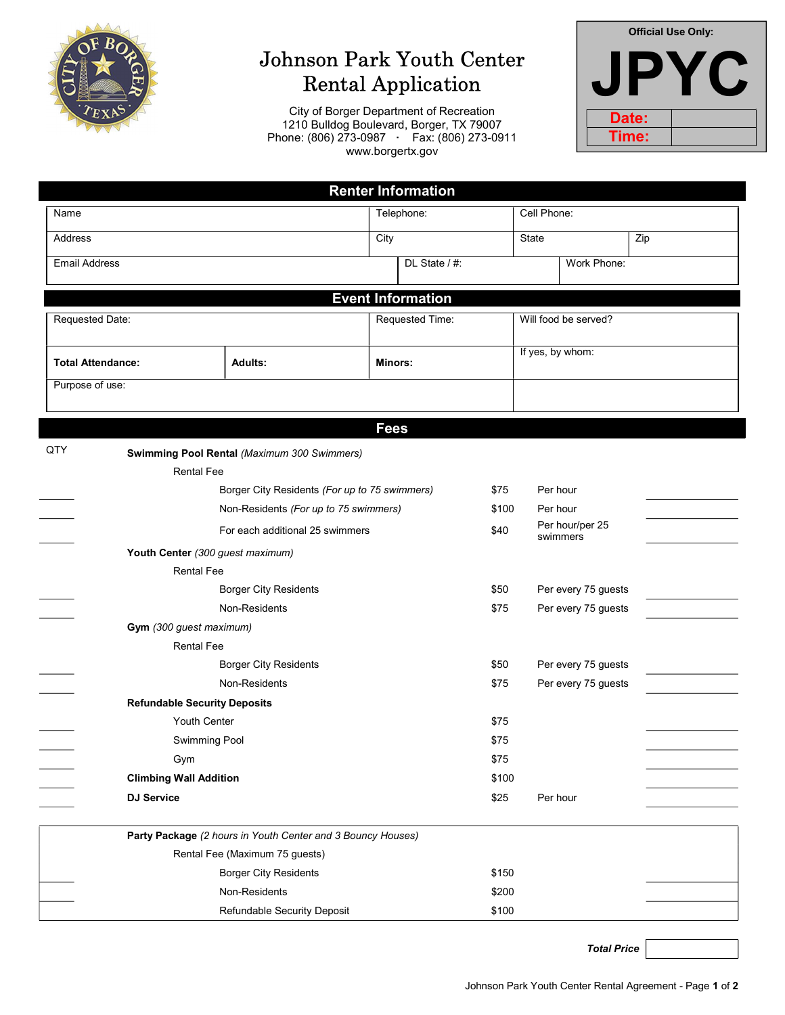

# Johnson Park Youth Center Rental Application

City of Borger Department of Recreation 1210 Bulldog Boulevard, Borger, TX 79007 Phone: (806) 273-0987 · Fax: (806) 273-0911 www.borgertx.gov

| <b>Official Use Only:</b> |  |  |  |  |  |  |  |
|---------------------------|--|--|--|--|--|--|--|
|                           |  |  |  |  |  |  |  |
| Date:                     |  |  |  |  |  |  |  |
| Time:                     |  |  |  |  |  |  |  |

| <b>Renter Information</b>           |                                                             |                 |  |                  |                      |                     |     |  |
|-------------------------------------|-------------------------------------------------------------|-----------------|--|------------------|----------------------|---------------------|-----|--|
| Name                                | Telephone:                                                  |                 |  | Cell Phone:      |                      |                     |     |  |
| Address                             |                                                             | City            |  |                  | State                |                     | Zip |  |
| <b>Email Address</b>                |                                                             | DL State / #:   |  |                  | Work Phone:          |                     |     |  |
|                                     |                                                             |                 |  |                  |                      |                     |     |  |
| <b>Event Information</b>            |                                                             |                 |  |                  |                      |                     |     |  |
| Requested Date:                     |                                                             | Requested Time: |  |                  | Will food be served? |                     |     |  |
| <b>Total Attendance:</b>            | <b>Adults:</b>                                              | <b>Minors:</b>  |  | If yes, by whom: |                      |                     |     |  |
| Purpose of use:                     |                                                             |                 |  |                  |                      |                     |     |  |
|                                     |                                                             |                 |  |                  |                      |                     |     |  |
|                                     |                                                             | <b>Fees</b>     |  |                  |                      |                     |     |  |
| QTY                                 | <b>Swimming Pool Rental (Maximum 300 Swimmers)</b>          |                 |  |                  |                      |                     |     |  |
| <b>Rental Fee</b>                   |                                                             |                 |  |                  |                      |                     |     |  |
|                                     | Borger City Residents (For up to 75 swimmers)               |                 |  |                  | Per hour             |                     |     |  |
|                                     | Non-Residents (For up to 75 swimmers)                       |                 |  | \$100            | Per hour             |                     |     |  |
|                                     | For each additional 25 swimmers                             |                 |  | \$40             |                      | Per hour/per 25     |     |  |
|                                     | Youth Center (300 guest maximum)                            |                 |  |                  |                      | swimmers            |     |  |
| <b>Rental Fee</b>                   |                                                             |                 |  |                  |                      |                     |     |  |
| <b>Borger City Residents</b>        |                                                             |                 |  | \$50             |                      | Per every 75 guests |     |  |
|                                     | Non-Residents                                               |                 |  | \$75             |                      | Per every 75 guests |     |  |
| Gym (300 guest maximum)             |                                                             |                 |  |                  |                      |                     |     |  |
| <b>Rental Fee</b>                   |                                                             |                 |  |                  |                      |                     |     |  |
| <b>Borger City Residents</b>        |                                                             |                 |  | \$50             |                      | Per every 75 guests |     |  |
|                                     | Non-Residents                                               | \$75            |  |                  |                      | Per every 75 guests |     |  |
| <b>Refundable Security Deposits</b> |                                                             |                 |  |                  |                      |                     |     |  |
| Youth Center                        |                                                             |                 |  | \$75             |                      |                     |     |  |
| <b>Swimming Pool</b>                |                                                             |                 |  | \$75             |                      |                     |     |  |
| Gym                                 |                                                             |                 |  | \$75             |                      |                     |     |  |
| <b>Climbing Wall Addition</b>       |                                                             |                 |  | \$100            |                      |                     |     |  |
| <b>DJ Service</b>                   |                                                             |                 |  | \$25             | Per hour             |                     |     |  |
|                                     | Party Package (2 hours in Youth Center and 3 Bouncy Houses) |                 |  |                  |                      |                     |     |  |
| Rental Fee (Maximum 75 guests)      |                                                             |                 |  |                  |                      |                     |     |  |
| <b>Borger City Residents</b>        |                                                             |                 |  | \$150            |                      |                     |     |  |
| Non-Residents                       |                                                             |                 |  | \$200            |                      |                     |     |  |
|                                     | Refundable Security Deposit                                 |                 |  | \$100            |                      |                     |     |  |

Total Price